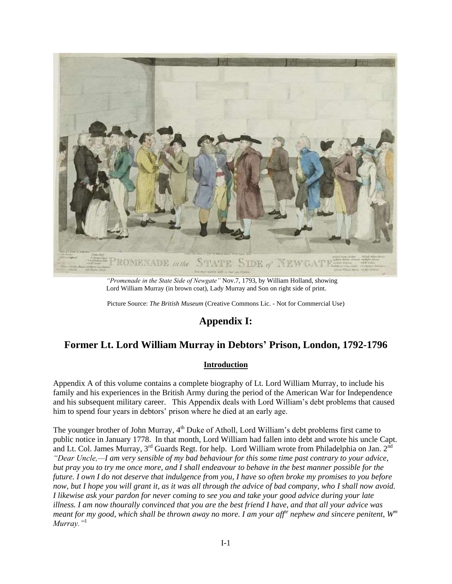

*"Promenade in the State Side of Newgate"* Nov.7, 1793, by William Holland, showing Lord William Murray (in brown coat), Lady Murray and Son on right side of print.

Picture Source: *The British Museum* (Creative Commons Lic. - Not for Commercial Use)

# **Appendix I:**

# **Former Lt. Lord William Murray in Debtors' Prison, London, 1792-1796**

# **Introduction**

Appendix A of this volume contains a complete biography of Lt. Lord William Murray, to include his family and his experiences in the British Army during the period of the American War for Independence and his subsequent military career. This Appendix deals with Lord William's debt problems that caused him to spend four years in debtors' prison where he died at an early age.

The younger brother of John Murray, 4<sup>th</sup> Duke of Atholl, Lord William's debt problems first came to public notice in January 1778. In that month, Lord William had fallen into debt and wrote his uncle Capt. and Lt. Col. James Murray, 3<sup>rd</sup> Guards Regt. for help. Lord William wrote from Philadelphia on Jan. 2<sup>nd</sup> *"Dear Uncle,—I am very sensible of my bad behaviour for this some time past contrary to your advice, but pray you to try me once more, and I shall endeavour to behave in the best manner possible for the future. I own I do not deserve that indulgence from you, I have so often broke my promises to you before now, but I hope you will grant it, as it was all through the advice of bad company, who I shall now avoid. I likewise ask your pardon for never coming to see you and take your good advice during your late illness. I am now thourally convinced that you are the best friend I have, and that all your advice was meant for my good, which shall be thrown away no more. I am your affte nephew and sincere penitent, W<sup>m</sup> Murray."*<sup>1</sup>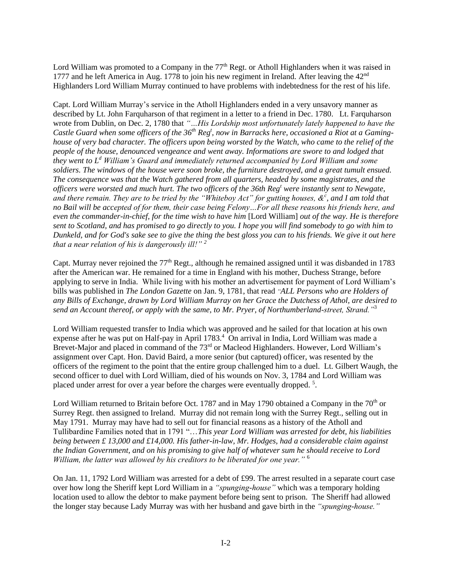Lord William was promoted to a Company in the 77<sup>th</sup> Regt. or Atholl Highlanders when it was raised in 1777 and he left America in Aug. 1778 to join his new regiment in Ireland. After leaving the  $42<sup>nd</sup>$ Highlanders Lord William Murray continued to have problems with indebtedness for the rest of his life.

Capt. Lord William Murray's service in the Atholl Highlanders ended in a very unsavory manner as described by Lt. John Farquharson of that regiment in a letter to a friend in Dec. 1780. Lt. Farquharson wrote from Dublin, on Dec. 2, 1780 that *"…His Lordship most unfortunately lately happened to have the Castle Guard when some officers of the 36th Reg<sup>t</sup> , now in Barracks here, occasioned a Riot at a Gaminghouse of very bad character. The officers upon being worsted by the Watch, who came to the relief of the people of the house, denounced vengeance and went away. Informations are swore to and lodged that they went to L<sup>d</sup> William's Guard and immediately returned accompanied by Lord William and some soldiers. The windows of the house were soon broke, the furniture destroyed, and a great tumult ensued. The consequence was that the Watch gathered from all quarters, headed by some magistrates, and the officers were worsted and much hurt. The two officers of the 36th Reg<sup>t</sup> were instantly sent to Newgate, and there remain. They are to be tried by the "Whiteboy Act" for gutting houses, &<sup>c</sup> , and I am told that no Bail will be accepted of for them, their case being Felony…For all these reasons his friends here, and even the commander-in-chief, for the time wish to have him* [Lord William] *out of the way. He is therefore sent to Scotland, and has promised to go directly to you. I hope you will find somebody to go with him to Dunkeld, and for God's sake see to give the thing the best gloss you can to his friends. We give it out here that a near relation of his is dangerously ill!" <sup>2</sup>*

Capt. Murray never rejoined the 77<sup>th</sup> Regt., although he remained assigned until it was disbanded in 1783 after the American war. He remained for a time in England with his mother, Duchess Strange, before applying to serve in India. While living with his mother an advertisement for payment of Lord William's bills was published in *The London Gazette* on Jan. 9, 1781, that read *"ALL Persons who are Holders of any Bills of Exchange, drawn by Lord William Murray on her Grace the Dutchess of Athol, are desired to send an Account thereof, or apply with the same, to Mr. Pryer, of Northumberland-street, Strand."*<sup>3</sup>

Lord William requested transfer to India which was approved and he sailed for that location at his own expense after he was put on Half-pay in April 1783.<sup>4</sup> On arrival in India, Lord William was made a Brevet-Major and placed in command of the 73<sup>rd</sup> or Macleod Highlanders. However, Lord William's assignment over Capt. Hon. David Baird, a more senior (but captured) officer, was resented by the officers of the regiment to the point that the entire group challenged him to a duel. Lt. Gilbert Waugh, the second officer to duel with Lord William, died of his wounds on Nov. 3, 1784 and Lord William was placed under arrest for over a year before the charges were eventually dropped.<sup>5</sup>.

Lord William returned to Britain before Oct. 1787 and in May 1790 obtained a Company in the  $70<sup>th</sup>$  or Surrey Regt. then assigned to Ireland. Murray did not remain long with the Surrey Regt., selling out in May 1791. Murray may have had to sell out for financial reasons as a history of the Atholl and Tullibardine Families noted that in 1791 "…*This year Lord William was arrested for debt, his liabilities being between £ 13,000 and £14,000. His father-in-law, Mr. Hodges, had a considerable claim against the Indian Government, and on his promising to give half of whatever sum he should receive to Lord William, the latter was allowed by his creditors to be liberated for one year."* <sup>6</sup>

On Jan. 11, 1792 Lord William was arrested for a debt of £99. The arrest resulted in a separate court case over how long the Sheriff kept Lord William in a *"spunging-house"* which was a temporary holding location used to allow the debtor to make payment before being sent to prison. The Sheriff had allowed the longer stay because Lady Murray was with her husband and gave birth in the *"spunging-house."*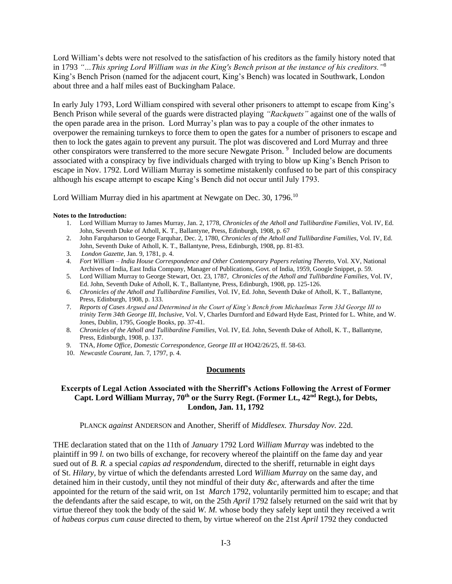Lord William's debts were not resolved to the satisfaction of his creditors as the family history noted that in 1793 *"…This spring Lord William was in the King's Bench prison at the instance of his creditors."*<sup>8</sup> King's Bench Prison (named for the adjacent court, King's Bench) was located in Southwark, London about three and a half miles east of Buckingham Palace.

In early July 1793, Lord William conspired with several other prisoners to attempt to escape from King's Bench Prison while several of the guards were distracted playing *"Rackquets"* against one of the walls of the open parade area in the prison. Lord Murray's plan was to pay a couple of the other inmates to overpower the remaining turnkeys to force them to open the gates for a number of prisoners to escape and then to lock the gates again to prevent any pursuit. The plot was discovered and Lord Murray and three other conspirators were transferred to the more secure Newgate Prison.<sup>9</sup> Included below are documents associated with a conspiracy by five individuals charged with trying to blow up King's Bench Prison to escape in Nov. 1792. Lord William Murray is sometime mistakenly confused to be part of this conspiracy although his escape attempt to escape King's Bench did not occur until July 1793.

Lord William Murray died in his apartment at Newgate on Dec. 30, 1796.<sup>10</sup>

#### **Notes to the Introduction:**

- 1. Lord William Murray to James Murray, Jan. 2, 1778, *Chronicles of the Atholl and Tullibardine Families*, Vol. IV, Ed. John, Seventh Duke of Atholl, K. T., Ballantyne, Press, Edinburgh, 1908, p. 67
- 2. John Farquharson to George Farquhar, Dec. 2, 1780, *Chronicles of the Atholl and Tullibardine Families*, Vol. IV, Ed. John, Seventh Duke of Atholl, K. T., Ballantyne, Press, Edinburgh, 1908, pp. 81-83.
- 3. *London Gazette*, Jan. 9, 1781, p. 4.
- 4. *Fort William – India House Correspondence and Other Contemporary Papers relating Thereto*, Vol. XV, National Archives of India, East India Company, Manager of Publications, Govt. of India, 1959, Google Snippet, p. 59.
- 5. Lord William Murray to George Stewart, Oct. 23, 1787, *Chronicles of the Atholl and Tullibardine Families*, Vol. IV, Ed. John, Seventh Duke of Atholl, K. T., Ballantyne, Press, Edinburgh, 1908, pp. 125-126.
- 6. *Chronicles of the Atholl and Tullibardine Families*, Vol. IV, Ed. John, Seventh Duke of Atholl, K. T., Ballantyne, Press, Edinburgh, 1908, p. 133.
- 7. *Reports of Cases Argued and Determined in the Court of King's Bench from Michaelmas Term 33d George III to trinity Term 34th George III, Inclusive,* Vol. V, Charles Durnford and Edward Hyde East, Printed for L. White, and W. Jones, Dublin, 1795, Google Books, pp. 37-41.
- 8. *Chronicles of the Atholl and Tullibardine Families*, Vol. IV, Ed. John, Seventh Duke of Atholl, K. T., Ballantyne, Press, Edinburgh, 1908, p. 137.
- 9. TNA, *Home Office*, *Domestic Correspondence, George III at* HO42/26/25, ff. 58-63.
- 10. *Newcastle Courant*, Jan. 7, 1797, p. 4.

#### **Documents**

### **Excerpts of Legal Action Associated with the Sherriff's Actions Following the Arrest of Former Capt. Lord William Murray, 70th or the Surry Regt. (Former Lt., 42nd Regt.), for Debts, London, Jan. 11, 1792**

PLANCK *against* ANDERSON and Another, Sheriff of *Middlesex. Thursday Nov.* 22d.

THE declaration stated that on the 11th of *January* 1792 Lord *William Murray* was indebted to the plaintiff in 99 *l.* on two bills of exchange, for recovery whereof the plaintiff on the fame day and year sued out of *B. R.* a special *capias ad respondendum,* directed to the sheriff, returnable in eight days of St. *Hilary,* by virtue of which the defendants arrested Lord *William Murray* on the same day, and detained him in their custody, until they not mindful of their duty *&c,* afterwards and after the time appointed for the return of the said writ, on 1st *March* 1792, voluntarily permitted him to escape; and that the defendants after the said escape, to wit, on the 25th *April* 1792 falsely returned on the said writ that by virtue thereof they took the body of the said *W. M.* whose body they safely kept until they received a writ of *habeas corpus cum cause* directed to them, by virtue whereof on the 21st *April* 1792 they conducted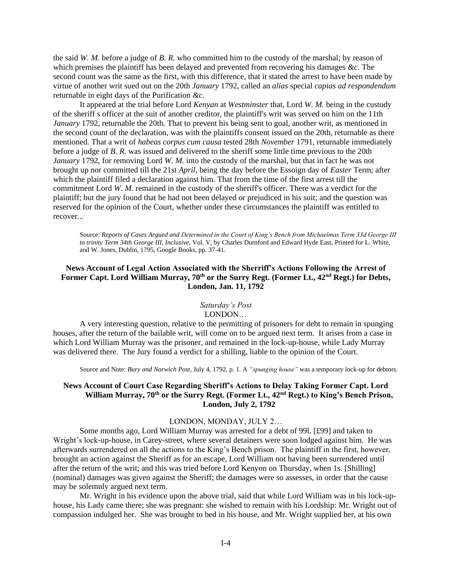the said *W. M.* before a judge of *B. R.* who committed him to the custody of the marshal; by reason of which premises the plaintiff has been delayed and prevented from recovering his damages *&c.* The second count was the same as the first, with this difference, that it stated the arrest to have been made by virtue of another writ sued out on the 20th *January* 1792, called an *alias* special *capias ad respondendum*  returnable in eight days of the Purification *&c.* 

It appeared at the trial before Lord *Kenyan* at *Westminster* that, Lord *W. M.* being in the custody of the sheriff s officer at the suit of another creditor, the plaintiff's writ was served on him on the 11th *January* 1792, returnable the 20th. That to prevent his being sent to goal, another writ, as mentioned in the second count of the declaration, was with the plaintiffs consent issued on the 20th, returnable as there mentioned. That a writ of *habeas corpus cum causa* tested 28th *November* 1791, returnable immediately before a judge of *B. R.* was issued and delivered to the sheriff some little time previous to the 20th *January* 1792, for removing Lord *W. M.* into the custody of the marshal, but that in fact he was not brought up nor committed till the 21st *April,* being the day before the Essoign day of *Easter* Term; after which the plaintiff filed a declaration against him. That from the time of the first arrest till the commitment Lord *W. M.* remained in the custody of the sheriff's officer. There was a verdict for the plaintiff; but the jury found that he had not been delayed or prejudiced in his suit; and the question was reserved for the opinion of the Court, whether under these circumstances the plaintiff was entitled to recover...

Source: *Reports of Cases Argued and Determined in the Court of King's Bench from Michaelmas Term 33d George III to trinity Term 34th George III, Inclusive,* Vol. V, by Charles Durnford and Edward Hyde East, Printed for L. White, and W. Jones, Dublin, 1795, Google Books, pp. 37-41.

### **News Account of Legal Action Associated with the Sherriff's Actions Following the Arrest of Former Capt. Lord William Murray, 70th or the Surry Regt. (Former Lt., 42nd Regt.) for Debts, London, Jan. 11, 1792**

#### *Saturday's Post* LONDON…

A very interesting question, relative to the permitting of prisoners for debt to remain in spunging houses, after the return of the bailable writ, will come on to be argued next term. It arises from a case in which Lord William Murray was the prisoner, and remained in the lock-up-house, while Lady Murray was delivered there. The Jury found a verdict for a shilling, liable to the opinion of the Court.

Source and Note: *Bury and Norwich Post*, July 4, 1792, p. 1. A *"spunging house"* was a temporary lock-up for debtors.

#### **News Account of Court Case Regarding Sheriff's Actions to Delay Taking Former Capt. Lord William Murray, 70th or the Surry Regt. (Former Lt., 42nd Regt.) to King's Bench Prison, London, July 2, 1792**

#### LONDON, MONDAY, JULY 2…

Some months ago, Lord William Murray was arrested for a debt of 99l. [£99] and taken to Wright's lock-up-house, in Carey-street, where several detainers were soon lodged against him. He was afterwards surrendered on all the actions to the King's Bench prison. The plaintiff in the first, however, brought an action against the Sheriff as for an escape, Lord William not having been surrendered until after the return of the writ; and this was tried before Lord Kenyon on Thursday, when 1s. [Shilling] (nominal) damages was given against the Sheriff; the damages were so assesses, in order that the cause may be solemnly argued next term.

Mr. Wright in his evidence upon the above trial, said that while Lord William was in his lock-uphouse, his Lady came there; she was pregnant: she wished to remain with his Lordship: Mr. Wright out of compassion indulged her. She was brought to bed in his house, and Mr. Wright supplied her, at his own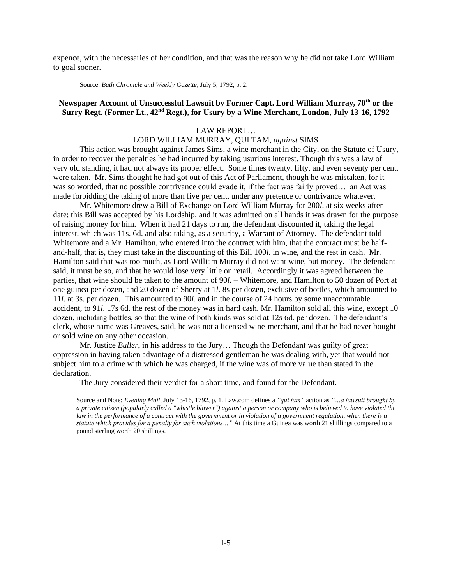expence, with the necessaries of her condition, and that was the reason why he did not take Lord William to goal sooner.

Source: *Bath Chronicle and Weekly Gazette*, July 5, 1792, p. 2.

# **Newspaper Account of Unsuccessful Lawsuit by Former Capt. Lord William Murray, 70th or the Surry Regt. (Former Lt., 42nd Regt.), for Usury by a Wine Merchant, London, July 13-16, 1792**

#### LAW REPORT…

### LORD WILLIAM MURRAY, QUI TAM, *against* SIMS

This action was brought against James Sims, a wine merchant in the City, on the Statute of Usury, in order to recover the penalties he had incurred by taking usurious interest. Though this was a law of very old standing, it had not always its proper effect. Some times twenty, fifty, and even seventy per cent. were taken. Mr. Sims thought he had got out of this Act of Parliament, though he was mistaken, for it was so worded, that no possible contrivance could evade it, if the fact was fairly proved… an Act was made forbidding the taking of more than five per cent. under any pretence or contrivance whatever.

Mr. Whitemore drew a Bill of Exchange on Lord William Murray for 200*l*, at six weeks after date; this Bill was accepted by his Lordship, and it was admitted on all hands it was drawn for the purpose of raising money for him. When it had 21 days to run, the defendant discounted it, taking the legal interest, which was 11s. 6d. and also taking, as a security, a Warrant of Attorney. The defendant told Whitemore and a Mr. Hamilton, who entered into the contract with him, that the contract must be halfand-half, that is, they must take in the discounting of this Bill 100*l*. in wine, and the rest in cash. Mr. Hamilton said that was too much, as Lord William Murray did not want wine, but money. The defendant said, it must be so, and that he would lose very little on retail. Accordingly it was agreed between the parties, that wine should be taken to the amount of 90*l*. – Whitemore, and Hamilton to 50 dozen of Port at one guinea per dozen, and 20 dozen of Sherry at 1*l*. 8s per dozen, exclusive of bottles, which amounted to 11*l*. at 3s. per dozen. This amounted to 90*l*. and in the course of 24 hours by some unaccountable accident, to 91*l*. 17s 6d. the rest of the money was in hard cash. Mr. Hamilton sold all this wine, except 10 dozen, including bottles, so that the wine of both kinds was sold at 12s 6d. per dozen. The defendant's clerk, whose name was Greaves, said, he was not a licensed wine-merchant, and that he had never bought or sold wine on any other occasion.

Mr. Justice *Buller*, in his address to the Jury… Though the Defendant was guilty of great oppression in having taken advantage of a distressed gentleman he was dealing with, yet that would not subject him to a crime with which he was charged, if the wine was of more value than stated in the declaration.

The Jury considered their verdict for a short time, and found for the Defendant.

Source and Note: *Evening Mail*, July 13-16, 1792, p. 1. Law.com defines a *"qui tam"* action as *"…a lawsuit brought by a private citizen (popularly called a "whistle blower") against a person or company who is believed to have violated the law in the performance of a contract with the government or in violation of a government regulation, when there is a statute which provides for a penalty for such violations…"* At this time a Guinea was worth 21 shillings compared to a pound sterling worth 20 shillings.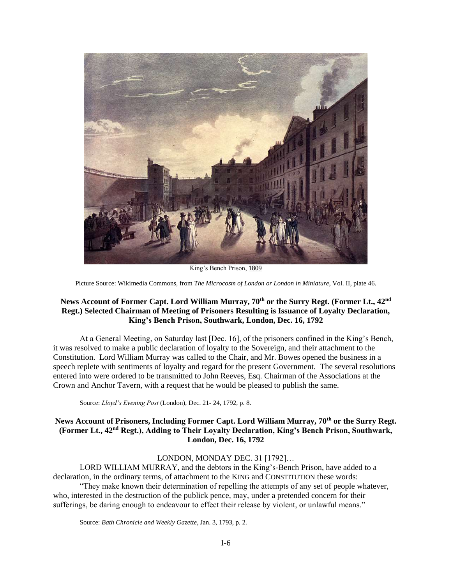

King's Bench Prison, 1809

Picture Source: Wikimedia Commons, from *The Microcosm of London or London in Miniature*, Vol. II, plate 46.

## **News Account of Former Capt. Lord William Murray, 70th or the Surry Regt. (Former Lt., 42nd Regt.) Selected Chairman of Meeting of Prisoners Resulting is Issuance of Loyalty Declaration, King's Bench Prison, Southwark, London, Dec. 16, 1792**

At a General Meeting, on Saturday last [Dec. 16], of the prisoners confined in the King's Bench, it was resolved to make a public declaration of loyalty to the Sovereign, and their attachment to the Constitution. Lord William Murray was called to the Chair, and Mr. Bowes opened the business in a speech replete with sentiments of loyalty and regard for the present Government. The several resolutions entered into were ordered to be transmitted to John Reeves, Esq. Chairman of the Associations at the Crown and Anchor Tavern, with a request that he would be pleased to publish the same.

Source: *Lloyd's Evening Post* (London), Dec. 21- 24, 1792, p. 8.

### **News Account of Prisoners, Including Former Capt. Lord William Murray, 70th or the Surry Regt. (Former Lt., 42nd Regt.), Adding to Their Loyalty Declaration, King's Bench Prison, Southwark, London, Dec. 16, 1792**

#### LONDON, MONDAY DEC. 31 [1792]…

LORD WILLIAM MURRAY, and the debtors in the King's-Bench Prison, have added to a declaration, in the ordinary terms, of attachment to the KING and CONSTITUTION these words: "They make known their determination of repelling the attempts of any set of people whatever, who, interested in the destruction of the publick pence, may, under a pretended concern for their sufferings, be daring enough to endeavour to effect their release by violent, or unlawful means."

Source: *Bath Chronicle and Weekly Gazette*, Jan. 3, 1793, p. 2.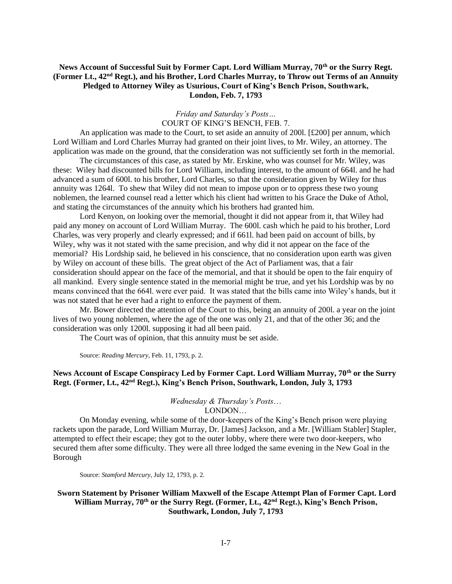### **News Account of Successful Suit by Former Capt. Lord William Murray, 70th or the Surry Regt. (Former Lt., 42nd Regt.), and his Brother, Lord Charles Murray, to Throw out Terms of an Annuity Pledged to Attorney Wiley as Usurious, Court of King's Bench Prison, Southwark, London, Feb. 7, 1793**

## *Friday and Saturday's Posts…* COURT OF KING'S BENCH, FEB. 7.

An application was made to the Court, to set aside an annuity of 2001.  $[£200]$  per annum, which Lord William and Lord Charles Murray had granted on their joint lives, to Mr. Wiley, an attorney. The application was made on the ground, that the consideration was not sufficiently set forth in the memorial.

The circumstances of this case, as stated by Mr. Erskine, who was counsel for Mr. Wiley, was these: Wiley had discounted bills for Lord William, including interest, to the amount of 664l. and he had advanced a sum of 600l. to his brother, Lord Charles, so that the consideration given by Wiley for thus annuity was 1264l. To shew that Wiley did not mean to impose upon or to oppress these two young noblemen, the learned counsel read a letter which his client had written to his Grace the Duke of Athol, and stating the circumstances of the annuity which his brothers had granted him.

Lord Kenyon, on looking over the memorial, thought it did not appear from it, that Wiley had paid any money on account of Lord William Murray. The 600l. cash which he paid to his brother, Lord Charles, was very properly and clearly expressed; and if 661l. had been paid on account of bills, by Wiley, why was it not stated with the same precision, and why did it not appear on the face of the memorial? His Lordship said, he believed in his conscience, that no consideration upon earth was given by Wiley on account of these bills. The great object of the Act of Parliament was, that a fair consideration should appear on the face of the memorial, and that it should be open to the fair enquiry of all mankind. Every single sentence stated in the memorial might be true, and yet his Lordship was by no means convinced that the 664l. were ever paid. It was stated that the bills came into Wiley's hands, but it was not stated that he ever had a right to enforce the payment of them.

Mr. Bower directed the attention of the Court to this, being an annuity of 200l. a year on the joint lives of two young noblemen, where the age of the one was only 21, and that of the other 36; and the consideration was only 1200l. supposing it had all been paid.

The Court was of opinion, that this annuity must be set aside.

Source: *Reading Mercury*, Feb. 11, 1793, p. 2.

# **News Account of Escape Conspiracy Led by Former Capt. Lord William Murray, 70th or the Surry Regt. (Former, Lt., 42nd Regt.), King's Bench Prison, Southwark, London, July 3, 1793**

#### *Wednesday & Thursday's Posts*… LONDON…

On Monday evening, while some of the door-keepers of the King's Bench prison were playing rackets upon the parade, Lord William Murray, Dr. [James] Jackson, and a Mr. [William Stabler] Stapler, attempted to effect their escape; they got to the outer lobby, where there were two door-keepers, who secured them after some difficulty. They were all three lodged the same evening in the New Goal in the Borough

Source: *Stamford Mercury*, July 12, 1793, p. 2.

### **Sworn Statement by Prisoner William Maxwell of the Escape Attempt Plan of Former Capt. Lord William Murray, 70th or the Surry Regt. (Former, Lt., 42nd Regt.), King's Bench Prison, Southwark, London, July 7, 1793**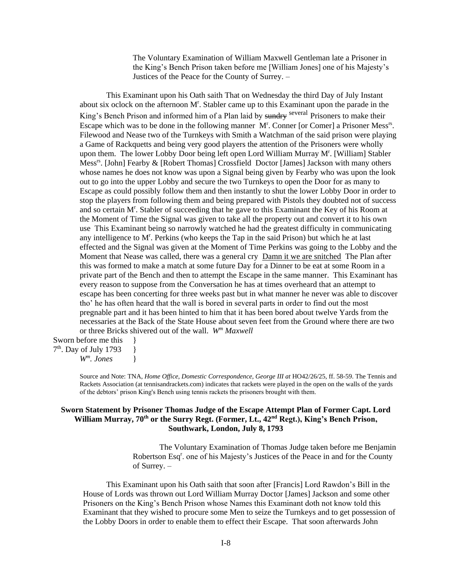The Voluntary Examination of William Maxwell Gentleman late a Prisoner in the King's Bench Prison taken before me [William Jones] one of his Majesty's Justices of the Peace for the County of Surrey. –

This Examinant upon his Oath saith That on Wednesday the third Day of July Instant about six oclock on the afternoon  $M<sup>r</sup>$ . Stabler came up to this Examinant upon the parade in the King's Bench Prison and informed him of a Plan laid by sundry several Prisoners to make their Escape which was to be done in the following manner M<sup>r</sup>. Conner [or Comer] a Prisoner Mess<sup>rs</sup>. Filewood and Nease two of the Turnkeys with Smith a Watchman of the said prison were playing a Game of Rackquetts and being very good players the attention of the Prisoners were wholly upon them. The lower Lobby Door being left open Lord William Murray M<sup>r</sup>. [William] Stabler Mess<sup>rs</sup>. [John] Fearby & [Robert Thomas] Crossfield Doctor [James] Jackson with many others whose names he does not know was upon a Signal being given by Fearby who was upon the look out to go into the upper Lobby and secure the two Turnkeys to open the Door for as many to Escape as could possibly follow them and then instantly to shut the lower Lobby Door in order to stop the players from following them and being prepared with Pistols they doubted not of success and so certain M<sup>r</sup>. Stabler of succeeding that he gave to this Examinant the Key of his Room at the Moment of Time the Signal was given to take all the property out and convert it to his own use This Examinant being so narrowly watched he had the greatest difficulty in communicating any intelligence to M<sup>r</sup>. Perkins (who keeps the Tap in the said Prison) but which he at last effected and the Signal was given at the Moment of Time Perkins was going to the Lobby and the Moment that Nease was called, there was a general cry Damn it we are snitched The Plan after this was formed to make a match at some future Day for a Dinner to be eat at some Room in a private part of the Bench and then to attempt the Escape in the same manner. This Examinant has every reason to suppose from the Conversation he has at times overheard that an attempt to escape has been concerting for three weeks past but in what manner he never was able to discover tho' he has often heard that the wall is bored in several parts in order to find out the most pregnable part and it has been hinted to him that it has been bored about twelve Yards from the necessaries at the Back of the State House about seven feet from the Ground where there are two or three Bricks shivered out of the wall. *W<sup>m</sup> Maxwell*

Sworn before me this  $\{$ 7<sup>th</sup>. Day of July 1793 } *W<sup>m</sup> . Jones* }

> Source and Note: TNA, *Home Office*, *Domestic Correspondence, George III at* HO42/26/25, ff. 58-59. The Tennis and Rackets Association (at tennisandrackets.com) indicates that rackets were played in the open on the walls of the yards of the debtors' prison King's Bench using tennis rackets the prisoners brought with them.

#### **Sworn Statement by Prisoner Thomas Judge of the Escape Attempt Plan of Former Capt. Lord William Murray, 70th or the Surry Regt. (Former, Lt., 42nd Regt.), King's Bench Prison, Southwark, London, July 8, 1793**

The Voluntary Examination of Thomas Judge taken before me Benjamin Robertson Esq<sup>r</sup>. one of his Majesty's Justices of the Peace in and for the County of Surrey. –

This Examinant upon his Oath saith that soon after [Francis] Lord Rawdon's Bill in the House of Lords was thrown out Lord William Murray Doctor [James] Jackson and some other Prisoners on the King's Bench Prison whose Names this Examinant doth not know told this Examinant that they wished to procure some Men to seize the Turnkeys and to get possession of the Lobby Doors in order to enable them to effect their Escape. That soon afterwards John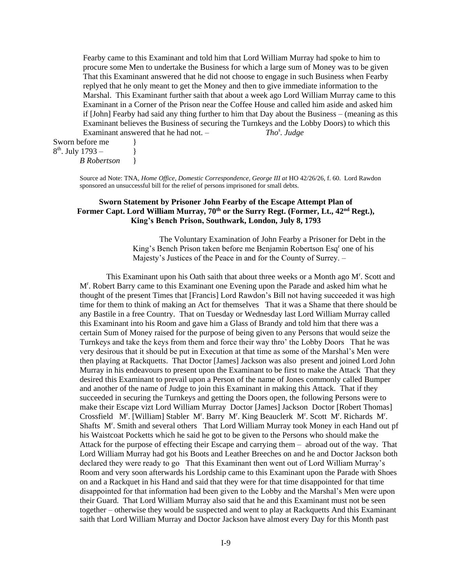Fearby came to this Examinant and told him that Lord William Murray had spoke to him to procure some Men to undertake the Business for which a large sum of Money was to be given That this Examinant answered that he did not choose to engage in such Business when Fearby replyed that he only meant to get the Money and then to give immediate information to the Marshal. This Examinant further saith that about a week ago Lord William Murray came to this Examinant in a Corner of the Prison near the Coffee House and called him aside and asked him if [John] Fearby had said any thing further to him that Day about the Business – (meaning as this Examinant believes the Business of securing the Turnkeys and the Lobby Doors) to which this Examinant answered that he had not. – *. Judge*

Sworn before me  $8<sup>th</sup>$ . July 1793 – }

*B Robertson* }

Source ad Note: TNA, *Home Office*, *Domestic Correspondence, George III at* HO 42/26/26, f. 60. Lord Rawdon sponsored an unsuccessful bill for the relief of persons imprisoned for small debts.

### **Sworn Statement by Prisoner John Fearby of the Escape Attempt Plan of Former Capt. Lord William Murray, 70th or the Surry Regt. (Former, Lt., 42nd Regt.), King's Bench Prison, Southwark, London, July 8, 1793**

The Voluntary Examination of John Fearby a Prisoner for Debt in the King's Bench Prison taken before me Benjamin Robertson Esq<sup>r</sup> one of his Majesty's Justices of the Peace in and for the County of Surrey. –

This Examinant upon his Oath saith that about three weeks or a Month ago M<sup>r</sup>. Scott and Mr . Robert Barry came to this Examinant one Evening upon the Parade and asked him what he thought of the present Times that [Francis] Lord Rawdon's Bill not having succeeded it was high time for them to think of making an Act for themselves That it was a Shame that there should be any Bastile in a free Country. That on Tuesday or Wednesday last Lord William Murray called this Examinant into his Room and gave him a Glass of Brandy and told him that there was a certain Sum of Money raised for the purpose of being given to any Persons that would seize the Turnkeys and take the keys from them and force their way thro' the Lobby Doors That he was very desirous that it should be put in Execution at that time as some of the Marshal's Men were then playing at Rackquetts. That Doctor [James] Jackson was also present and joined Lord John Murray in his endeavours to present upon the Examinant to be first to make the Attack That they desired this Examinant to prevail upon a Person of the name of Jones commonly called Bumper and another of the name of Judge to join this Examinant in making this Attack. That if they succeeded in securing the Turnkeys and getting the Doors open, the following Persons were to make their Escape vizt Lord William Murray Doctor [James] Jackson Doctor [Robert Thomas] Crossfield M<sup>r</sup>. [William] Stabler M<sup>r</sup>. Barry M<sup>r</sup>. King Beauclerk M<sup>r</sup>. Scott M<sup>r</sup>. Richards M<sup>r</sup>. Shafts M<sup>r</sup>. Smith and several others That Lord William Murray took Money in each Hand out pf his Waistcoat Pocketts which he said he got to be given to the Persons who should make the Attack for the purpose of effecting their Escape and carrying them – abroad out of the way. That Lord William Murray had got his Boots and Leather Breeches on and he and Doctor Jackson both declared they were ready to go That this Examinant then went out of Lord William Murray's Room and very soon afterwards his Lordship came to this Examinant upon the Parade with Shoes on and a Rackquet in his Hand and said that they were for that time disappointed for that time disappointed for that information had been given to the Lobby and the Marshal's Men were upon their Guard. That Lord William Murray also said that he and this Examinant must not be seen together – otherwise they would be suspected and went to play at Rackquetts And this Examinant saith that Lord William Murray and Doctor Jackson have almost every Day for this Month past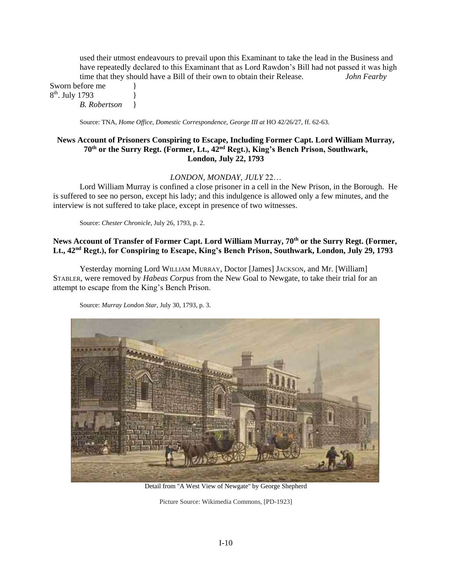used their utmost endeavours to prevail upon this Examinant to take the lead in the Business and have repeatedly declared to this Examinant that as Lord Rawdon's Bill had not passed it was high time that they should have a Bill of their own to obtain their Release. *John Fearby*

Sworn before me 8<sup>th</sup>. July 1793 } *B. Robertson* }

Source: TNA, *Home Office*, *Domestic Correspondence, George III at* HO 42/26/27, ff. 62-63.

#### **News Account of Prisoners Conspiring to Escape, Including Former Capt. Lord William Murray, 70th or the Surry Regt. (Former, Lt., 42nd Regt.), King's Bench Prison, Southwark, London, July 22, 1793**

#### *LONDON, MONDAY, JULY* 22…

Lord William Murray is confined a close prisoner in a cell in the New Prison, in the Borough. He is suffered to see no person, except his lady; and this indulgence is allowed only a few minutes, and the interview is not suffered to take place, except in presence of two witnesses.

Source: *Chester Chronicle*, July 26, 1793, p. 2.

# **News Account of Transfer of Former Capt. Lord William Murray, 70th or the Surry Regt. (Former, Lt., 42nd Regt.), for Conspiring to Escape, King's Bench Prison, Southwark, London, July 29, 1793**

Yesterday morning Lord WILLIAM MURRAY, Doctor [James] JACKSON, and Mr. [William] STABLER, were removed by *Habeas Corpus* from the New Goal to Newgate, to take their trial for an attempt to escape from the King's Bench Prison.

Source: *Murray London Star*, July 30, 1793, p. 3.



Detail from ''A West View of Newgate'' by George Shepherd

Picture Source: Wikimedia Commons, [PD-1923]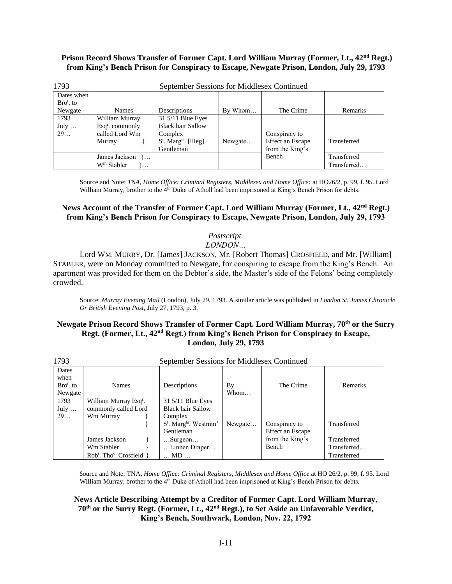### **Prison Record Shows Transfer of Former Capt. Lord William Murray (Former, Lt., 42nd Regt.) from King's Bench Prison for Conspiracy to Escape, Newgate Prison, London, July 29, 1793**

| 1793        | September Sessions for Middlesex Continued |                                      |         |                         |             |  |
|-------------|--------------------------------------------|--------------------------------------|---------|-------------------------|-------------|--|
| Dates when  |                                            |                                      |         |                         |             |  |
| $Brot$ , to |                                            |                                      |         |                         |             |  |
| Newgate     | <b>Names</b>                               | Descriptions                         | By Whom | The Crime               | Remarks     |  |
| 1793        | William Murray                             | 31 5/11 Blue Eyes                    |         |                         |             |  |
| July        | $\text{Esq}^r$ . commonly                  | <b>Black hair Sallow</b>             |         |                         |             |  |
| 29          | called Lord Wm                             | Complex                              |         | Conspiracy to           |             |  |
|             | Murray                                     | $S^t$ . Marg <sup>ts</sup> . [Illeg] | Newgate | <b>Effect an Escape</b> | Transferred |  |
|             |                                            | Gentleman                            |         | from the King's         |             |  |
|             | James Jackson<br>$\cdots$                  |                                      |         | Bench                   | Transferred |  |
|             | $Wm$ Stabler<br>$\cdots$                   |                                      |         |                         | Transferred |  |

Source and Note: *TNA, Home Office: Criminal Registers, Middlesex and Home Office:* at HO26/2, p. 99, f. 95. Lord William Murray, brother to the 4<sup>th</sup> Duke of Atholl had been imprisoned at King's Bench Prison for debts.

# **News Account of the Transfer of Former Capt. Lord William Murray (Former, Lt., 42nd Regt.) from King's Bench Prison for Conspiracy to Escape, Newgate Prison, London, July 29, 1793**

### *Postscript.*

*LONDON…*

Lord WM. MURRY, Dr. [James] JACKSON, Mr. [Robert Thomas] CROSFIELD, and Mr. [William] STABLER, were on Monday committed to Newgate, for conspiring to escape from the King's Bench. An apartment was provided for them on the Debtor's side, the Master's side of the Felons' being completely crowded.

Source: *Murray Evening Mail* (London), July 29, 1793. A similar article was published in *London St. James Chronicle Or British Evening Post*, July 27, 1793, p. 3.

## **Newgate Prison Record Shows Transfer of Former Capt. Lord William Murray, 70th or the Surry Regt. (Former, Lt., 42nd Regt.) from King's Bench Prison for Conspiracy to Escape, London, July 29, 1793**

| 1793        | September Sessions for Middlesex Continued      |                                                |         |                  |             |  |
|-------------|-------------------------------------------------|------------------------------------------------|---------|------------------|-------------|--|
| Dates       |                                                 |                                                |         |                  |             |  |
| when        |                                                 |                                                |         |                  |             |  |
| $Brot$ , to | <b>Names</b>                                    | Descriptions                                   | By      | The Crime        | Remarks     |  |
| Newgate     |                                                 |                                                | Whom    |                  |             |  |
| 1793        | William Murray Esq <sup>r</sup> .               | 31 5/11 Blue Eyes                              |         |                  |             |  |
| July        | commonly called Lord                            | <b>Black hair Sallow</b>                       |         |                  |             |  |
| 29          | Wm Murray                                       | Complex                                        |         |                  |             |  |
|             |                                                 | S <sup>t</sup> . Marg <sup>ts</sup> . Westmin' | Newgate | Conspiracy to    | Transferred |  |
|             |                                                 | Gentleman                                      |         | Effect an Escape |             |  |
|             | James Jackson                                   | $$ Surgeon $$                                  |         | from the King's  | Transferred |  |
|             | Wm Stabler                                      | Linnen Draper                                  |         | Bench            | Transferred |  |
|             | Rob <sup>t</sup> . Tho <sup>s</sup> . Crosfield | $\ldots$ MD $\ldots$                           |         |                  | Transferred |  |

Source and Note: TNA, *Home Office: Criminal Registers, Middlesex and Home Office* at HO 26/2, p. 99, f. 95. Lord William Murray, brother to the 4<sup>th</sup> Duke of Atholl had been imprisoned at King's Bench Prison for debts.

# **News Article Describing Attempt by a Creditor of Former Capt. Lord William Murray, 70th or the Surry Regt. (Former, Lt., 42nd Regt.), to Set Aside an Unfavorable Verdict, King's Bench, Southwark, London, Nov. 22, 1792**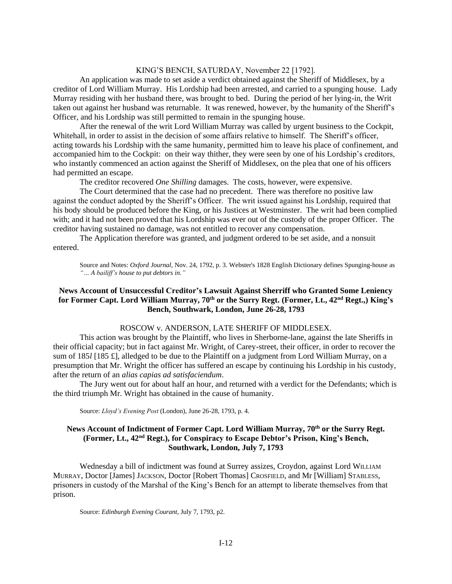#### KING'S BENCH, SATURDAY, November 22 [1792].

An application was made to set aside a verdict obtained against the Sheriff of Middlesex, by a creditor of Lord William Murray. His Lordship had been arrested, and carried to a spunging house. Lady Murray residing with her husband there, was brought to bed. During the period of her lying-in, the Writ taken out against her husband was returnable. It was renewed, however, by the humanity of the Sheriff's Officer, and his Lordship was still permitted to remain in the spunging house.

After the renewal of the writ Lord William Murray was called by urgent business to the Cockpit, Whitehall, in order to assist in the decision of some affairs relative to himself. The Sheriff's officer, acting towards his Lordship with the same humanity, permitted him to leave his place of confinement, and accompanied him to the Cockpit: on their way thither, they were seen by one of his Lordship's creditors, who instantly commenced an action against the Sheriff of Middlesex, on the plea that one of his officers had permitted an escape.

The creditor recovered *One Shilling* damages. The costs, however, were expensive.

The Court determined that the case had no precedent. There was therefore no positive law against the conduct adopted by the Sheriff's Officer. The writ issued against his Lordship, required that his body should be produced before the King, or his Justices at Westminster. The writ had been complied with; and it had not been proved that his Lordship was ever out of the custody of the proper Officer. The creditor having sustained no damage, was not entitled to recover any compensation.

The Application therefore was granted, and judgment ordered to be set aside, and a nonsuit entered.

Source and Notes: *Oxford Journal,* Nov. 24, 1792, p. 3. Webster's 1828 English Dictionary defines Spunging-house as *"… A bailiff's house to put debtors in."*

#### **News Account of Unsuccessful Creditor's Lawsuit Against Sherriff who Granted Some Leniency for Former Capt. Lord William Murray, 70th or the Surry Regt. (Former, Lt., 42nd Regt.,) King's Bench, Southwark, London, June 26-28, 1793**

#### ROSCOW v. ANDERSON, LATE SHERIFF OF MIDDLESEX.

This action was brought by the Plaintiff, who lives in Sherborne-lane, against the late Sheriffs in their official capacity; but in fact against Mr. Wright, of Carey-street, their officer, in order to recover the sum of 185*l* [185 £], alledged to be due to the Plaintiff on a judgment from Lord William Murray, on a presumption that Mr. Wright the officer has suffered an escape by continuing his Lordship in his custody, after the return of an *alias capias ad satisfaciendum*.

The Jury went out for about half an hour, and returned with a verdict for the Defendants; which is the third triumph Mr. Wright has obtained in the cause of humanity.

Source: *Lloyd's Evening Post* (London), June 26-28, 1793, p. 4.

### **News Account of Indictment of Former Capt. Lord William Murray, 70th or the Surry Regt. (Former, Lt., 42nd Regt.), for Conspiracy to Escape Debtor's Prison, King's Bench, Southwark, London, July 7, 1793**

Wednesday a bill of indictment was found at Surrey assizes, Croydon, against Lord WILLIAM MURRAY, Doctor [James] JACKSON, Doctor [Robert Thomas] CROSFIELD, and Mr [William] STABLESS, prisoners in custody of the Marshal of the King's Bench for an attempt to liberate themselves from that prison.

Source: *Edinburgh Evening Courant*, July 7, 1793, p2.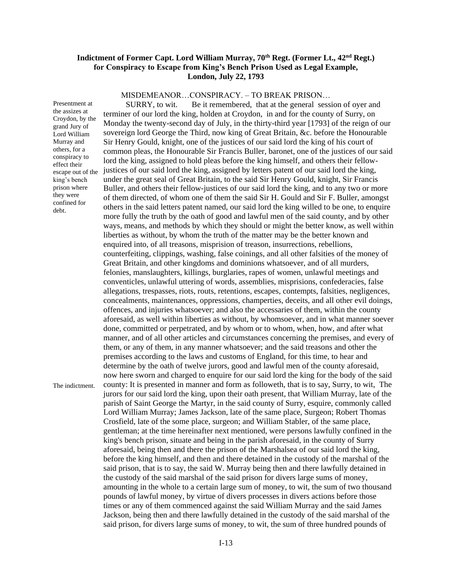### **Indictment of Former Capt. Lord William Murray, 70th Regt. (Former Lt., 42nd Regt.) for Conspiracy to Escape from King's Bench Prison Used as Legal Example, London, July 22, 1793**

MISDEMEANOR…CONSPIRACY. – TO BREAK PRISON…

Presentment at the assizes at Croydon, by the grand Jury of Lord William Murray and others, for a conspiracy to effect their escape out of the king's bench prison where they were confined for debt.

The indictment.

 SURRY, to wit. Be it remembered, that at the general session of oyer and terminer of our lord the king, holden at Croydon, in and for the county of Surry, on Monday the twenty-second day of July, in the thirty-third year [1793] of the reign of our sovereign lord George the Third, now king of Great Britain, &c. before the Honourable Sir Henry Gould, knight, one of the justices of our said lord the king of his court of common pleas, the Honourable Sir Francis Buller, baronet, one of the justices of our said lord the king, assigned to hold pleas before the king himself, and others their fellowjustices of our said lord the king, assigned by letters patent of our said lord the king, under the great seal of Great Britain, to the said Sir Henry Gould, knight, Sir Francis Buller, and others their fellow-justices of our said lord the king, and to any two or more of them directed, of whom one of them the said Sir H. Gould and Sir F. Buller, amongst others in the said letters patent named, our said lord the king willed to be one, to enquire more fully the truth by the oath of good and lawful men of the said county, and by other ways, means, and methods by which they should or might the better know, as well within liberties as without, by whom the truth of the matter may be the better known and enquired into, of all treasons, misprision of treason, insurrections, rebellions, counterfeiting, clippings, washing, false coinings, and all other falsities of the money of Great Britain, and other kingdoms and dominions whatsoever, and of all murders, felonies, manslaughters, killings, burglaries, rapes of women, unlawful meetings and conventicles, unlawful uttering of words, assemblies, misprisions, confederacies, false allegations, trespasses, riots, routs, retentions, escapes, contempts, falsities, negligences, concealments, maintenances, oppressions, champerties, deceits, and all other evil doings, offences, and injuries whatsoever; and also the accessaries of them, within the county aforesaid, as well within liberties as without, by whomsoever, and in what manner soever done, committed or perpetrated, and by whom or to whom, when, how, and after what manner, and of all other articles and circumstances concerning the premises, and every of them, or any of them, in any manner whatsoever; and the said treasons and other the premises according to the laws and customs of England, for this time, to hear and determine by the oath of twelve jurors, good and lawful men of the county aforesaid, now here sworn and charged to enquire for our said lord the king for the body of the said county: It is presented in manner and form as followeth, that is to say, Surry, to wit, The jurors for our said lord the king, upon their oath present, that William Murray, late of the parish of Saint George the Martyr, in the said county of Surry, esquire, commonly called Lord William Murray; James Jackson, late of the same place, Surgeon; Robert Thomas Crosfield, late of the some place, surgeon; and William Stabler, of the same place, gentleman; at the time hereinafter next mentioned, were persons lawfully confined in the king's bench prison, situate and being in the parish aforesaid, in the county of Surry aforesaid, being then and there the prison of the Marshalsea of our said lord the king, before the king himself, and then and there detained in the custody of the marshal of the said prison, that is to say, the said W. Murray being then and there lawfully detained in the custody of the said marshal of the said prison for divers large sums of money, amounting in the whole to a certain large sum of money, to wit, the sum of two thousand pounds of lawful money, by virtue of divers processes in divers actions before those times or any of them commenced against the said William Murray and the said James Jackson, being then and there lawfully detained in the custody of the said marshal of the said prison, for divers large sums of money, to wit, the sum of three hundred pounds of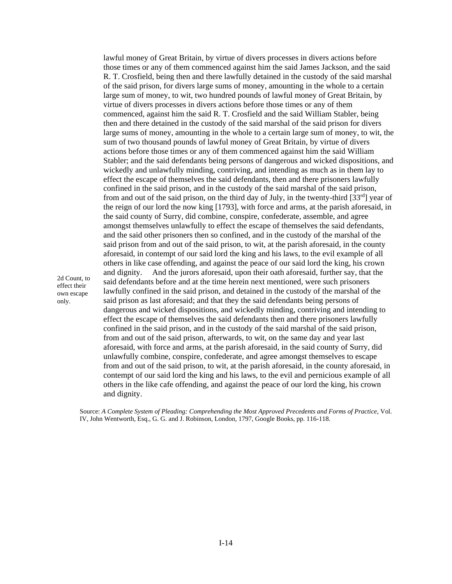lawful money of Great Britain, by virtue of divers processes in divers actions before those times or any of them commenced against him the said James Jackson, and the said R. T. Crosfield, being then and there lawfully detained in the custody of the said marshal of the said prison, for divers large sums of money, amounting in the whole to a certain large sum of money, to wit, two hundred pounds of lawful money of Great Britain, by virtue of divers processes in divers actions before those times or any of them commenced, against him the said R. T. Crosfield and the said William Stabler, being then and there detained in the custody of the said marshal of the said prison for divers large sums of money, amounting in the whole to a certain large sum of money, to wit, the sum of two thousand pounds of lawful money of Great Britain, by virtue of divers actions before those times or any of them commenced against him the said William Stabler; and the said defendants being persons of dangerous and wicked dispositions, and wickedly and unlawfully minding, contriving, and intending as much as in them lay to effect the escape of themselves the said defendants, then and there prisoners lawfully confined in the said prison, and in the custody of the said marshal of the said prison, from and out of the said prison, on the third day of July, in the twenty-third  $[33^{rd}]$  year of the reign of our lord the now king [1793], with force and arms, at the parish aforesaid, in the said county of Surry, did combine, conspire, confederate, assemble, and agree amongst themselves unlawfully to effect the escape of themselves the said defendants, and the said other prisoners then so confined, and in the custody of the marshal of the said prison from and out of the said prison, to wit, at the parish aforesaid, in the county aforesaid, in contempt of our said lord the king and his laws, to the evil example of all others in like case offending, and against the peace of our said lord the king, his crown and dignity. And the jurors aforesaid, upon their oath aforesaid, further say, that the said defendants before and at the time herein next mentioned, were such prisoners lawfully confined in the said prison, and detained in the custody of the marshal of the said prison as last aforesaid; and that they the said defendants being persons of dangerous and wicked dispositions, and wickedly minding, contriving and intending to effect the escape of themselves the said defendants then and there prisoners lawfully confined in the said prison, and in the custody of the said marshal of the said prison, from and out of the said prison, afterwards, to wit, on the same day and year last aforesaid, with force and arms, at the parish aforesaid, in the said county of Surry, did unlawfully combine, conspire, confederate, and agree amongst themselves to escape from and out of the said prison, to wit, at the parish aforesaid, in the county aforesaid, in contempt of our said lord the king and his laws, to the evil and pernicious example of all others in the like cafe offending, and against the peace of our lord the king, his crown and dignity.

Source: *A Complete System of Pleading: Comprehending the Most Approved Precedents and Forms of Practice*, Vol. IV, John Wentworth, Esq., G. G. and J. Robinson, London, 1797, Google Books, pp. 116-118.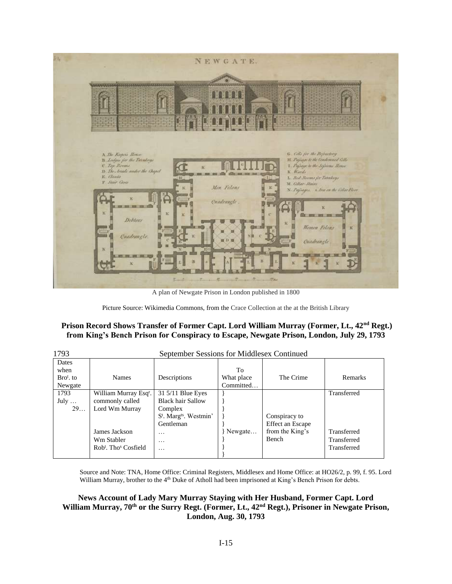

A plan of Newgate Prison in London published in 1800

Picture Source: Wikimedia Commons, from the Crace Collection at the at the British Library

### **Prison Record Shows Transfer of Former Capt. Lord William Murray (Former, Lt., 42nd Regt.) from King's Bench Prison for Conspiracy to Escape, Newgate Prison, London, July 29, 1793**

| 1793                                    | September Sessions for Middlesex Continued                                                                                                            |                                                                                                                                                               |                               |                                                               |                                                          |
|-----------------------------------------|-------------------------------------------------------------------------------------------------------------------------------------------------------|---------------------------------------------------------------------------------------------------------------------------------------------------------------|-------------------------------|---------------------------------------------------------------|----------------------------------------------------------|
| Dates<br>when<br>$Brot$ , to<br>Newgate | <b>Names</b>                                                                                                                                          | Descriptions                                                                                                                                                  | Тo<br>What place<br>Committed | The Crime                                                     | Remarks                                                  |
| 1793<br>July $\ldots$<br>29             | William Murray Esq <sup>r</sup> .<br>commonly called<br>Lord Wm Murray<br>James Jackson<br>Wm Stabler<br>Rob <sup>t</sup> . Tho <sup>s</sup> Cosfield | $31\frac{5}{11}$ Blue Eyes<br><b>Black hair Sallow</b><br>Complex<br>S <sup>t</sup> . Marg <sup>ts</sup> . Westmin'<br>Gentleman<br>$\cdots$<br>$\cdots$<br>. | Newgate                       | Conspiracy to<br>Effect an Escape<br>from the King's<br>Bench | Transferred<br>Transferred<br>Transferred<br>Transferred |

Source and Note: TNA, Home Office: Criminal Registers, Middlesex and Home Office: at HO26/2, p. 99, f. 95. Lord William Murray, brother to the 4<sup>th</sup> Duke of Atholl had been imprisoned at King's Bench Prison for debts.

### **News Account of Lady Mary Murray Staying with Her Husband, Former Capt. Lord William Murray, 70th or the Surry Regt. (Former, Lt., 42nd Regt.), Prisoner in Newgate Prison, London, Aug. 30, 1793**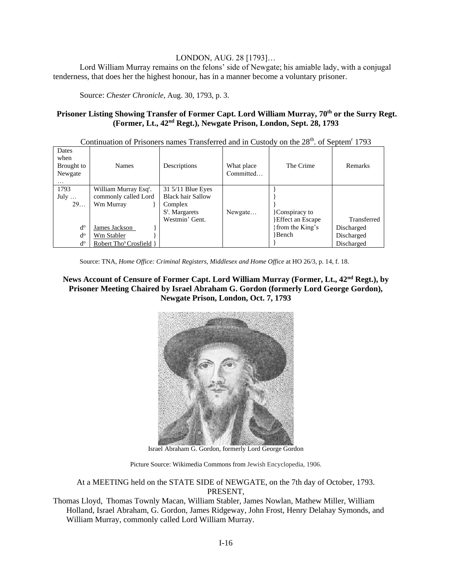## LONDON, AUG. 28 [1793]…

Lord William Murray remains on the felons' side of Newgate; his amiable lady, with a conjugal tenderness, that does her the highest honour, has in a manner become a voluntary prisoner.

Source: *Chester Chronicle,* Aug. 30, 1793, p. 3.

### **Prisoner Listing Showing Transfer of Former Capt. Lord William Murray, 70th or the Surry Regt. (Former, Lt., 42nd Regt.), Newgate Prison, London, Sept. 28, 1793**

| Dates<br>when<br>Brought to<br>Newgate<br>$\cdots$ | Names                                                                  | Descriptions                                                                                    | What place<br>Committed | The Crime                                | <b>Remarks</b>                         |
|----------------------------------------------------|------------------------------------------------------------------------|-------------------------------------------------------------------------------------------------|-------------------------|------------------------------------------|----------------------------------------|
| 1793<br>July $\ldots$<br>29                        | William Murray Esq <sup>r</sup> .<br>commonly called Lord<br>Wm Murray | 31 5/11 Blue Eyes<br><b>Black hair Sallow</b><br>Complex<br>$S^t$ . Margarets<br>Westmin' Gent. | Newgate                 | Conspiracy to<br><b>Effect an Escape</b> | Transferred                            |
| $d^{\rm o}$<br>$d^{\rm o}$<br>$d^{\rm o}$          | James Jackson<br>Wm Stabler<br>Robert Tho <sup>s</sup> Crosfield       |                                                                                                 |                         | from the King's<br>Bench                 | Discharged<br>Discharged<br>Discharged |

Continuation of Prisoners names Transferred and in Custody on the 28<sup>th</sup>. of Septem<sup>r</sup> 1793

Source: TNA, *Home Office: Criminal Registers, Middlesex and Home Office* at HO 26/3, p. 14, f. 18.

### **News Account of Censure of Former Capt. Lord William Murray (Former, Lt., 42nd Regt.), by Prisoner Meeting Chaired by Israel Abraham G. Gordon (formerly Lord George Gordon), Newgate Prison, London, Oct. 7, 1793**



Israel Abraham G. Gordon, formerly Lord George Gordon

Picture Source: Wikimedia Commons from Jewish Encyclopedia, 1906.

At a MEETING held on the STATE SIDE of NEWGATE, on the 7th day of October, 1793. PRESENT,

Thomas Lloyd, Thomas Townly Macan, William Stabler, James Nowlan, Mathew Miller, William Holland, Israel Abraham, G. Gordon, James Ridgeway, John Frost, Henry Delahay Symonds, and William Murray, commonly called Lord William Murray.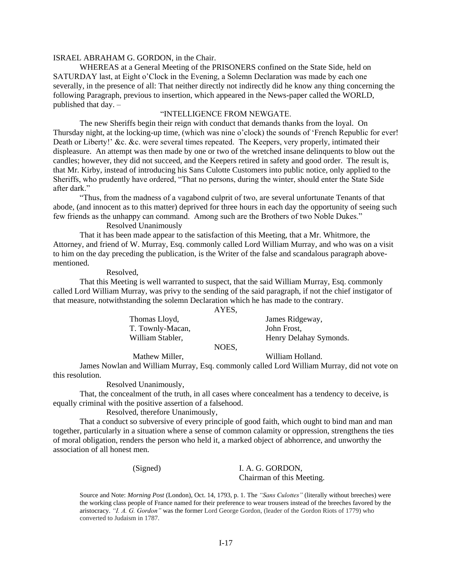#### ISRAEL ABRAHAM G. GORDON, in the Chair.

WHEREAS at a General Meeting of the PRISONERS confined on the State Side, held on SATURDAY last, at Eight o'Clock in the Evening, a Solemn Declaration was made by each one severally, in the presence of all: That neither directly not indirectly did he know any thing concerning the following Paragraph, previous to insertion, which appeared in the News-paper called the WORLD, published that day. –

#### "INTELLIGENCE FROM NEWGATE.

The new Sheriffs begin their reign with conduct that demands thanks from the loyal. On Thursday night, at the locking-up time, (which was nine o'clock) the sounds of 'French Republic for ever! Death or Liberty!' &c. &c. were several times repeated. The Keepers, very properly, intimated their displeasure. An attempt was then made by one or two of the wretched insane delinquents to blow out the candles; however, they did not succeed, and the Keepers retired in safety and good order. The result is, that Mr. Kirby, instead of introducing his Sans Culotte Customers into public notice, only applied to the Sheriffs, who prudently have ordered, "That no persons, during the winter, should enter the State Side after dark."

"Thus, from the madness of a vagabond culprit of two, are several unfortunate Tenants of that abode, (and innocent as to this matter) deprived for three hours in each day the opportunity of seeing such few friends as the unhappy can command. Among such are the Brothers of two Noble Dukes."

#### Resolved Unanimously

That it has been made appear to the satisfaction of this Meeting, that a Mr. Whitmore, the Attorney, and friend of W. Murray, Esq. commonly called Lord William Murray, and who was on a visit to him on the day preceding the publication, is the Writer of the false and scandalous paragraph abovementioned.

Resolved,

That this Meeting is well warranted to suspect, that the said William Murray, Esq. commonly called Lord William Murray, was privy to the sending of the said paragraph, if not the chief instigator of that measure, notwithstanding the solemn Declaration which he has made to the contrary.

AYES,

| Thomas Lloyd,    |             | James Ridgeway,        |
|------------------|-------------|------------------------|
| T. Townly-Macan, |             | John Frost,            |
| William Stabler, |             | Henry Delahay Symonds. |
|                  | <b>NOES</b> |                        |

Mathew Miller, William Holland.

James Nowlan and William Murray, Esq. commonly called Lord William Murray, did not vote on this resolution.

Resolved Unanimously,

That, the concealment of the truth, in all cases where concealment has a tendency to deceive, is equally criminal with the positive assertion of a falsehood.

Resolved, therefore Unanimously,

That a conduct so subversive of every principle of good faith, which ought to bind man and man together, particularly in a situation where a sense of common calamity or oppression, strengthens the ties of moral obligation, renders the person who held it, a marked object of abhorrence, and unworthy the association of all honest men.

(Signed) I. A. G. GORDON, Chairman of this Meeting.

Source and Note: *Morning Post* (London), Oct. 14, 1793, p. 1. The *"Sans Culottes"* (literally without breeches) were the working class people of France named for their preference to wear trousers instead of the breeches favored by the aristocracy. *"I. A. G. Gordon"* was the former Lord George Gordon, (leader of the Gordon Riots of 1779) who converted to Judaism in 1787.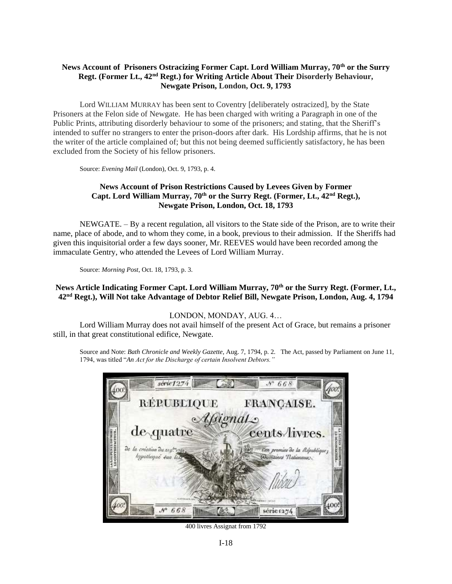### **News Account of Prisoners Ostracizing Former Capt. Lord William Murray, 70th or the Surry Regt. (Former Lt., 42nd Regt.) for Writing Article About Their Disorderly Behaviour, Newgate Prison, London, Oct. 9, 1793**

Lord WILLIAM MURRAY has been sent to Coventry [deliberately ostracized], by the State Prisoners at the Felon side of Newgate. He has been charged with writing a Paragraph in one of the Public Prints, attributing disorderly behaviour to some of the prisoners; and stating, that the Sheriff's intended to suffer no strangers to enter the prison-doors after dark. His Lordship affirms, that he is not the writer of the article complained of; but this not being deemed sufficiently satisfactory, he has been excluded from the Society of his fellow prisoners.

Source: *Evening Mail* (London), Oct. 9, 1793, p. 4.

### **News Account of Prison Restrictions Caused by Levees Given by Former Capt. Lord William Murray, 70th or the Surry Regt. (Former, Lt., 42nd Regt.), Newgate Prison, London, Oct. 18, 1793**

NEWGATE. – By a recent regulation, all visitors to the State side of the Prison, are to write their name, place of abode, and to whom they come, in a book, previous to their admission. If the Sheriffs had given this inquisitorial order a few days sooner, Mr. REEVES would have been recorded among the immaculate Gentry, who attended the Levees of Lord William Murray.

Source: *Morning Post*, Oct. 18, 1793, p. 3.

### **News Article Indicating Former Capt. Lord William Murray, 70th or the Surry Regt. (Former, Lt., 42nd Regt.), Will Not take Advantage of Debtor Relief Bill, Newgate Prison, London, Aug. 4, 1794**

### LONDON, MONDAY, AUG. 4…

Lord William Murray does not avail himself of the present Act of Grace, but remains a prisoner still, in that great constitutional edifice, Newgate.

Source and Note: *Bath Chronicle and Weekly Gazette*, Aug. 7, 1794, p. 2. The Act, passed by Parliament on June 11, 1794, was titled "*An Act for the Discharge of certain Insolvent Debtors."* 



400 livres Assignat from 1792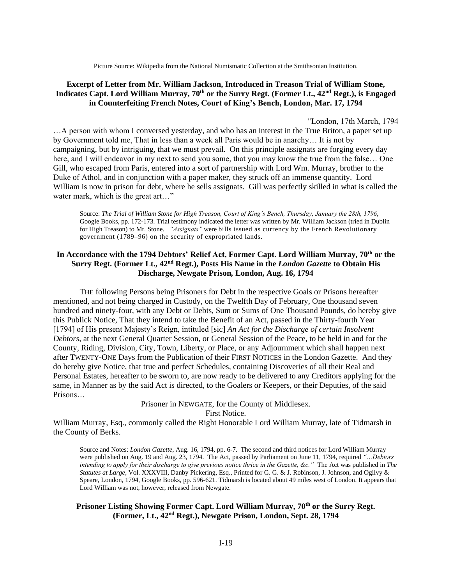Picture Source: Wikipedia from the National Numismatic Collection at the Smithsonian Institution.

### **Excerpt of Letter from Mr. William Jackson, Introduced in Treason Trial of William Stone, Indicates Capt. Lord William Murray, 70th or the Surry Regt. (Former Lt., 42nd Regt.), is Engaged in Counterfeiting French Notes, Court of King's Bench, London, Mar. 17, 1794**

"London, 17th March, 1794 …A person with whom I conversed yesterday, and who has an interest in the True Briton, a paper set up by Government told me, That in less than a week all Paris would be in anarchy… It is not by campaigning, but by intriguing, that we must prevail. On this principle assignats are forging every day here, and I will endeavor in my next to send you some, that you may know the true from the false... One Gill, who escaped from Paris, entered into a sort of partnership with Lord Wm. Murray, brother to the Duke of Athol, and in conjunction with a paper maker, they struck off an immense quantity. Lord William is now in prison for debt, where he sells assignats. Gill was perfectly skilled in what is called the water mark, which is the great art..."

Source: *The Trial of William Stone for High Treason, Court of King's Bench, Thursday, January the 28th, 1796*, Google Books, pp. 172-173. Trial testimony indicated the letter was written by Mr. William Jackson (tried in Dublin for High Treason) to Mr. Stone. *"Assignats"* were bills issued as currency by the French Revolutionary government (1789–96) on the security of expropriated lands.

### **In Accordance with the 1794 Debtors' Relief Act, Former Capt. Lord William Murray, 70th or the Surry Regt. (Former Lt., 42nd Regt.), Posts His Name in the** *London Gazette* **to Obtain His Discharge, Newgate Prison***,* **London, Aug. 16, 1794**

THE following Persons being Prisoners for Debt in the respective Goals or Prisons hereafter mentioned, and not being charged in Custody, on the Twelfth Day of February, One thousand seven hundred and ninety-four, with any Debt or Debts, Sum or Sums of One Thousand Pounds, do hereby give this Publick Notice, That they intend to take the Benefit of an Act, passed in the Thirty-fourth Year [1794] of His present Majesty's Reign, intituled [sic] *An Act for the Discharge of certain Insolvent Debtors*, at the next General Quarter Session, or General Session of the Peace, to be held in and for the County, Riding, Division, City, Town, Liberty, or Place, or any Adjournment which shall happen next after TWENTY-ONE Days from the Publication of their FIRST NOTICES in the London Gazette. And they do hereby give Notice, that true and perfect Schedules, containing Discoveries of all their Real and Personal Estates, hereafter to be sworn to, are now ready to be delivered to any Creditors applying for the same, in Manner as by the said Act is directed, to the Goalers or Keepers, or their Deputies, of the said Prisons…

> Prisoner in NEWGATE, for the County of Middlesex. First Notice.

William Murray, Esq., commonly called the Right Honorable Lord William Murray, late of Tidmarsh in the County of Berks.

Source and Notes: *London Gazette*, Aug. 16, 1794, pp. 6-7. The second and third notices for Lord William Murray were published on Aug. 19 and Aug. 23, 1794. The Act, passed by Parliament on June 11, 1794, required *"…Debtors intending to apply for their discharge to give previous notice thrice in the Gazette, &c."* The Act was published in *The Statutes at Large*, Vol. XXXVIII, Danby Pickering, Esq., Printed for G. G. & J. Robinson, J. Johnson, and Ogilvy & Speare, London, 1794, Google Books, pp. 596-621. Tidmarsh is located about 49 miles west of London. It appears that Lord William was not, however, released from Newgate.

### **Prisoner Listing Showing Former Capt. Lord William Murray, 70th or the Surry Regt. (Former, Lt., 42nd Regt.), Newgate Prison, London, Sept. 28, 1794**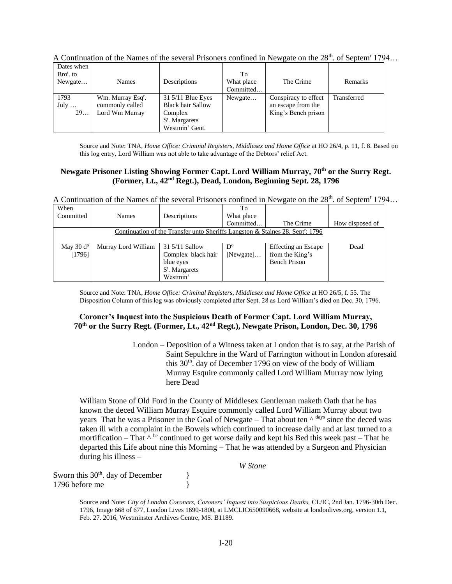| Dates when    |                               |                          |            |                      |             |
|---------------|-------------------------------|--------------------------|------------|----------------------|-------------|
| $Brot$ , to   |                               |                          | Tо         |                      |             |
| Newgate       | Names                         | Descriptions             | What place | The Crime            | Remarks     |
|               |                               |                          | Committed  |                      |             |
| 1793          | Wm. Murray Esq <sup>r</sup> . | 31 5/11 Blue Eyes        | Newgate    | Conspiracy to effect | Transferred |
| July $\ldots$ | commonly called               | <b>Black hair Sallow</b> |            | an escape from the   |             |
| 29            | Lord Wm Murray                | Complex                  |            | King's Bench prison  |             |
|               |                               | $S^t$ . Margarets        |            |                      |             |
|               |                               | Westmin' Gent.           |            |                      |             |

A Continuation of the Names of the several Prisoners confined in Newgate on the  $28<sup>th</sup>$ . of Septem<sup>r</sup> 1794...

Source and Note: TNA, *Home Office: Criminal Registers, Middlesex and Home Office* at HO 26/4, p. 11, f. 8. Based on this log entry, Lord William was not able to take advantage of the Debtors' relief Act.

### **Newgate Prisoner Listing Showing Former Capt. Lord William Murray, 70th or the Surry Regt. (Former, Lt., 42nd Regt.), Dead, London, Beginning Sept. 28, 1796**

A Continuation of the Names of the several Prisoners confined in Newgate on the  $28<sup>th</sup>$ . of Septem<sup>r</sup> 1794...

| When               |                     |                                                                                            | To          |                     |                 |
|--------------------|---------------------|--------------------------------------------------------------------------------------------|-------------|---------------------|-----------------|
| Committed          | <b>Names</b>        | Descriptions                                                                               | What place  |                     |                 |
|                    |                     |                                                                                            | Committed   | The Crime           | How disposed of |
|                    |                     | Continuation of the Transfer unto Sheriffs Langston & Staines 28. Sept <sup>r</sup> : 1796 |             |                     |                 |
|                    |                     |                                                                                            |             |                     |                 |
| May $30 d^{\circ}$ | Murray Lord William | 31 5/11 Sallow                                                                             | $D^{\circ}$ | Effecting an Escape | Dead            |
| [1796]             |                     | Complex black hair                                                                         | [Newgate]   | from the King's     |                 |
|                    |                     | blue eyes                                                                                  |             | <b>Bench Prison</b> |                 |
|                    |                     | $S^t$ . Margarets                                                                          |             |                     |                 |
|                    |                     | Westmin'                                                                                   |             |                     |                 |

Source and Note: TNA, *Home Office: Criminal Registers, Middlesex and Home Office* at HO 26/5, f. 55. The Disposition Column of this log was obviously completed after Sept. 28 as Lord William's died on Dec. 30, 1796.

### **Coroner's Inquest into the Suspicious Death of Former Capt. Lord William Murray, 70th or the Surry Regt. (Former, Lt., 42nd Regt.), Newgate Prison, London, Dec. 30, 1796**

London – Deposition of a Witness taken at London that is to say, at the Parish of Saint Sepulchre in the Ward of Farrington without in London aforesaid this  $30<sup>th</sup>$ . day of December 1796 on view of the body of William Murray Esquire commonly called Lord William Murray now lying here Dead

William Stone of Old Ford in the County of Middlesex Gentleman maketh Oath that he has known the deced William Murray Esquire commonly called Lord William Murray about two years That he was a Prisoner in the Goal of Newgate – That about ten  $\wedge$  days since the deced was taken ill with a complaint in the Bowels which continued to increase daily and at last turned to a mortification – That  $\wedge$  he continued to get worse daily and kept his Bed this week past – That he departed this Life about nine this Morning – That he was attended by a Surgeon and Physician during his illness –

| W Stone |
|---------|
|         |
|         |
|         |

Source and Note: *City of London Coroners, Coroners' Inquest into Suspicious Deaths,* CL/IC, 2nd Jan. 1796-30th Dec. 1796, Image 668 of 677, London Lives 1690-1800, at LMCLIC650090668, website at londonlives.org, version 1.1, Feb. 27. 2016, Westminster Archives Centre, MS. B1189.